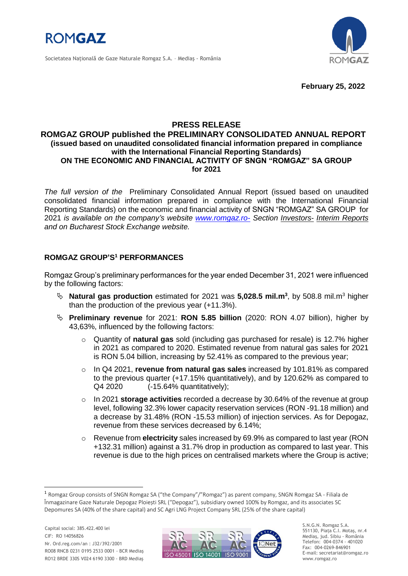

Societatea Naţională de Gaze Naturale Romgaz S.A. – Mediaş - România



**February 25, 2022**

# **PRESS RELEASE**

### **ROMGAZ GROUP published the PRELIMINARY CONSOLIDATED ANNUAL REPORT (issued based on unaudited consolidated financial information prepared in compliance with the International Financial Reporting Standards) ON THE ECONOMIC AND FINANCIAL ACTIVITY OF SNGN "ROMGAZ" SA GROUP for 2021**

*The full version of the* Preliminary Consolidated Annual Report (issued based on unaudited consolidated financial information prepared in compliance with the International Financial Reporting Standards) on the economic and financial activity of SNGN "ROMGAZ" SA GROUP for 2021 *is available on the company's website [www.romgaz.ro-](http://www.romgaz.ro-/) Section Investors- Interim Reports and on Bucharest Stock Exchange website.* 

# **ROMGAZ GROUP'S <sup>1</sup> PERFORMANCES**

Romgaz Group's preliminary performances for the year ended December 31, 2021 were influenced by the following factors:

- **Natural gas production** estimated for 2021 was **5,028.5 mil.m<sup>3</sup>** , by 508.8 mil.m<sup>3</sup> higher than the production of the previous year (+11.3%).
- **Preliminary revenue** for 2021: **RON 5.85 billion** (2020: RON 4.07 billion), higher by 43,63%, influenced by the following factors:
	- o Quantity of **natural gas** sold (including gas purchased for resale) is 12.7% higher in 2021 as compared to 2020. Estimated revenue from natural gas sales for 2021 is RON 5.04 billion, increasing by 52.41% as compared to the previous year;
	- o In Q4 2021, **revenue from natural gas sales** increased by 101.81% as compared to the previous quarter (+17.15% quantitatively), and by 120.62% as compared to Q4 2020 (-15.64% quantitatively);
	- o In 2021 **storage activities** recorded a decrease by 30.64% of the revenue at group level, following 32.3% lower capacity reservation services (RON -91.18 million) and a decrease by 31.48% (RON -15.53 million) of injection services. As for Depogaz, revenue from these services decreased by 6.14%;
	- o Revenue from **electricity** sales increased by 69.9% as compared to last year (RON +132.31 million) against a 31.7% drop in production as compared to last year. This revenue is due to the high prices on centralised markets where the Group is active;

1



S.N.G.N. Romgaz S.A. 551130, Piața C.I. Motaş, nr.4 Mediaş, jud. Sibiu - România Telefon: 004-0374 - 401020 Fax: 004-0269-846901 E-mail: secretariat@romgaz.ro www.romgaz.ro

<sup>1</sup> Romgaz Group consists of SNGN Romgaz SA ("the Company"/"Romgaz") as parent company, SNGN Romgaz SA - Filiala de Înmagazinare Gaze Naturale Depogaz Ploiești SRL ("Depogaz"), subsidiary owned 100% by Romgaz, and its associates SC Depomures SA (40% of the share capital) and SC Agri LNG Project Company SRL (25% of the share capital)